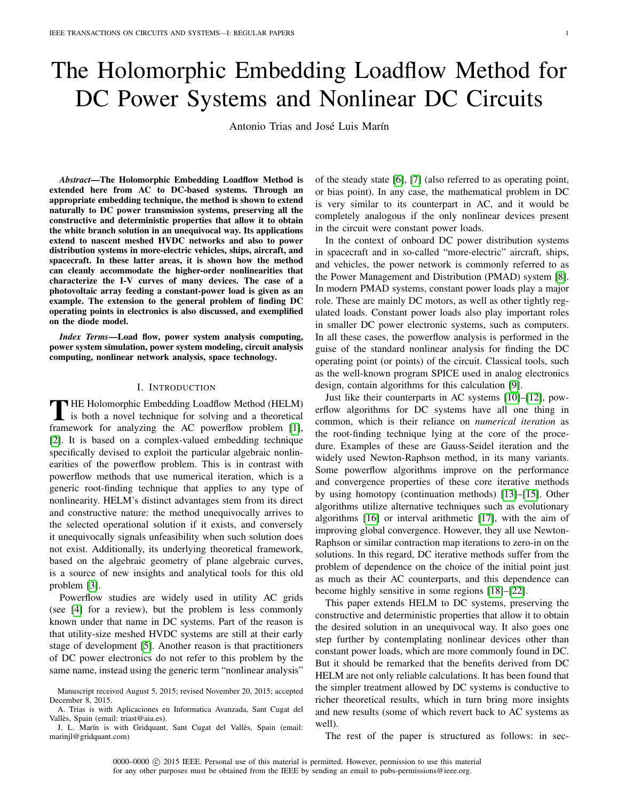# The Holomorphic Embedding Loadflow Method for DC Power Systems and Nonlinear DC Circuits

Antonio Trias and José Luis Marín

*Abstract*—The Holomorphic Embedding Loadflow Method is extended here from AC to DC-based systems. Through an appropriate embedding technique, the method is shown to extend naturally to DC power transmission systems, preserving all the constructive and deterministic properties that allow it to obtain the white branch solution in an unequivocal way. Its applications extend to nascent meshed HVDC networks and also to power distribution systems in more-electric vehicles, ships, aircraft, and spacecraft. In these latter areas, it is shown how the method can cleanly accommodate the higher-order nonlinearities that characterize the I-V curves of many devices. The case of a photovoltaic array feeding a constant-power load is given as an example. The extension to the general problem of finding DC operating points in electronics is also discussed, and exemplified on the diode model.

*Index Terms*—Load flow, power system analysis computing, power system simulation, power system modeling, circuit analysis computing, nonlinear network analysis, space technology.

#### I. INTRODUCTION

THE Holomorphic Embedding Loadflow Method (HELM)<br>is both a novel technique for solving and a theoretical<br>formulation for analysis the AC assumption analysis [1] is both a novel technique for solving and a theoretical framework for analyzing the AC powerflow problem [\[1\]](#page-10-0), [\[2\]](#page-10-1). It is based on a complex-valued embedding technique specifically devised to exploit the particular algebraic nonlinearities of the powerflow problem. This is in contrast with powerflow methods that use numerical iteration, which is a generic root-finding technique that applies to any type of nonlinearity. HELM's distinct advantages stem from its direct and constructive nature: the method unequivocally arrives to the selected operational solution if it exists, and conversely it unequivocally signals unfeasibility when such solution does not exist. Additionally, its underlying theoretical framework, based on the algebraic geometry of plane algebraic curves, is a source of new insights and analytical tools for this old problem [\[3\]](#page-10-2).

Powerflow studies are widely used in utility AC grids (see [\[4\]](#page-11-0) for a review), but the problem is less commonly known under that name in DC systems. Part of the reason is that utility-size meshed HVDC systems are still at their early stage of development [\[5\]](#page-11-1). Another reason is that practitioners of DC power electronics do not refer to this problem by the same name, instead using the generic term "nonlinear analysis"

J. L. Marín is with Gridquant, Sant Cugat del Vallès, Spain (email: marinjl@gridquant.com)

of the steady state [\[6\]](#page-11-2), [\[7\]](#page-11-3) (also referred to as operating point, or bias point). In any case, the mathematical problem in DC is very similar to its counterpart in AC, and it would be completely analogous if the only nonlinear devices present in the circuit were constant power loads.

In the context of onboard DC power distribution systems in spacecraft and in so-called "more-electric" aircraft, ships, and vehicles, the power network is commonly referred to as the Power Management and Distribution (PMAD) system [\[8\]](#page-11-4). In modern PMAD systems, constant power loads play a major role. These are mainly DC motors, as well as other tightly regulated loads. Constant power loads also play important roles in smaller DC power electronic systems, such as computers. In all these cases, the powerflow analysis is performed in the guise of the standard nonlinear analysis for finding the DC operating point (or points) of the circuit. Classical tools, such as the well-known program SPICE used in analog electronics design, contain algorithms for this calculation [\[9\]](#page-11-5).

Just like their counterparts in AC systems [\[10\]](#page-11-6)–[\[12\]](#page-11-7), powerflow algorithms for DC systems have all one thing in common, which is their reliance on *numerical iteration* as the root-finding technique lying at the core of the procedure. Examples of these are Gauss-Seidel iteration and the widely used Newton-Raphson method, in its many variants. Some powerflow algorithms improve on the performance and convergence properties of these core iterative methods by using homotopy (continuation methods) [\[13\]](#page-11-8)–[\[15\]](#page-11-9). Other algorithms utilize alternative techniques such as evolutionary algorithms [\[16\]](#page-11-10) or interval arithmetic [\[17\]](#page-11-11), with the aim of improving global convergence. However, they all use Newton-Raphson or similar contraction map iterations to zero-in on the solutions. In this regard, DC iterative methods suffer from the problem of dependence on the choice of the initial point just as much as their AC counterparts, and this dependence can become highly sensitive in some regions [\[18\]](#page-11-12)–[\[22\]](#page-11-13).

This paper extends HELM to DC systems, preserving the constructive and deterministic properties that allow it to obtain the desired solution in an unequivocal way. It also goes one step further by contemplating nonlinear devices other than constant power loads, which are more commonly found in DC. But it should be remarked that the benefits derived from DC HELM are not only reliable calculations. It has been found that the simpler treatment allowed by DC systems is conductive to richer theoretical results, which in turn bring more insights and new results (some of which revert back to AC systems as well).

The rest of the paper is structured as follows: in sec-

Manuscript received August 5, 2015; revised November 20, 2015; accepted December 8, 2015.

A. Trias is with Aplicaciones en Informatica Avanzada, Sant Cugat del Vallès, Spain (email: triast@aia.es).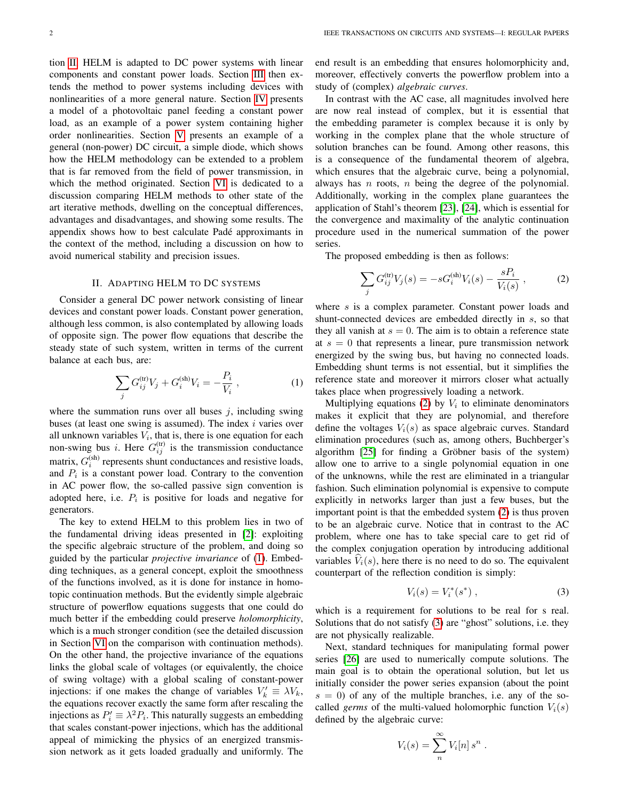tion [II,](#page-1-0) HELM is adapted to DC power systems with linear components and constant power loads. Section [III](#page-2-0) then extends the method to power systems including devices with nonlinearities of a more general nature. Section [IV](#page-3-0) presents a model of a photovoltaic panel feeding a constant power load, as an example of a power system containing higher order nonlinearities. Section [V](#page-5-0) presents an example of a general (non-power) DC circuit, a simple diode, which shows how the HELM methodology can be extended to a problem that is far removed from the field of power transmission, in which the method originated. Section [VI](#page-6-0) is dedicated to a discussion comparing HELM methods to other state of the art iterative methods, dwelling on the conceptual differences, advantages and disadvantages, and showing some results. The appendix shows how to best calculate Pade approximants in ´ the context of the method, including a discussion on how to avoid numerical stability and precision issues.

## II. ADAPTING HELM TO DC SYSTEMS

<span id="page-1-0"></span>Consider a general DC power network consisting of linear devices and constant power loads. Constant power generation, although less common, is also contemplated by allowing loads of opposite sign. The power flow equations that describe the steady state of such system, written in terms of the current balance at each bus, are:

<span id="page-1-1"></span>
$$
\sum_{j} G_{ij}^{(\text{tr})} V_j + G_i^{(\text{sh})} V_i = -\frac{P_i}{V_i} \,, \tag{1}
$$

where the summation runs over all buses  $j$ , including swing buses (at least one swing is assumed). The index  $i$  varies over all unknown variables  $V_i$ , that is, there is one equation for each non-swing bus *i*. Here  $G_{ij}^{(tr)}$  is the transmission conductance matrix,  $G_i^{(\text{sh})}$  represents shunt conductances and resistive loads, and  $P_i$  is a constant power load. Contrary to the convention in AC power flow, the so-called passive sign convention is adopted here, i.e.  $P_i$  is positive for loads and negative for generators.

The key to extend HELM to this problem lies in two of the fundamental driving ideas presented in [\[2\]](#page-10-1): exploiting the specific algebraic structure of the problem, and doing so guided by the particular *projective invariance* of [\(1\)](#page-1-1). Embedding techniques, as a general concept, exploit the smoothness of the functions involved, as it is done for instance in homotopic continuation methods. But the evidently simple algebraic structure of powerflow equations suggests that one could do much better if the embedding could preserve *holomorphicity*, which is a much stronger condition (see the detailed discussion in Section [VI](#page-6-0) on the comparison with continuation methods). On the other hand, the projective invariance of the equations links the global scale of voltages (or equivalently, the choice of swing voltage) with a global scaling of constant-power injections: if one makes the change of variables  $V'_k \equiv \lambda V_k$ , the equations recover exactly the same form after rescaling the injections as  $P'_i \equiv \lambda^2 P_i$ . This naturally suggests an embedding that scales constant-power injections, which has the additional appeal of mimicking the physics of an energized transmission network as it gets loaded gradually and uniformly. The end result is an embedding that ensures holomorphicity and, moreover, effectively converts the powerflow problem into a study of (complex) *algebraic curves*.

In contrast with the AC case, all magnitudes involved here are now real instead of complex, but it is essential that the embedding parameter is complex because it is only by working in the complex plane that the whole structure of solution branches can be found. Among other reasons, this is a consequence of the fundamental theorem of algebra, which ensures that the algebraic curve, being a polynomial, always has  $n$  roots,  $n$  being the degree of the polynomial. Additionally, working in the complex plane guarantees the application of Stahl's theorem [\[23\]](#page-11-14), [\[24\]](#page-11-15), which is essential for the convergence and maximality of the analytic continuation procedure used in the numerical summation of the power series.

The proposed embedding is then as follows:

<span id="page-1-2"></span>
$$
\sum_{j} G_{ij}^{(\text{tr})} V_j(s) = -s G_i^{(\text{sh})} V_i(s) - \frac{s P_i}{V_i(s)}, \qquad (2)
$$

where s is a complex parameter. Constant power loads and shunt-connected devices are embedded directly in s, so that they all vanish at  $s = 0$ . The aim is to obtain a reference state at  $s = 0$  that represents a linear, pure transmission network energized by the swing bus, but having no connected loads. Embedding shunt terms is not essential, but it simplifies the reference state and moreover it mirrors closer what actually takes place when progressively loading a network.

Multiplying equations [\(2\)](#page-1-2) by  $V_i$  to eliminate denominators makes it explicit that they are polynomial, and therefore define the voltages  $V_i(s)$  as space algebraic curves. Standard elimination procedures (such as, among others, Buchberger's algorithm  $[25]$  for finding a Gröbner basis of the system) allow one to arrive to a single polynomial equation in one of the unknowns, while the rest are eliminated in a triangular fashion. Such elimination polynomial is expensive to compute explicitly in networks larger than just a few buses, but the important point is that the embedded system [\(2\)](#page-1-2) is thus proven to be an algebraic curve. Notice that in contrast to the AC problem, where one has to take special care to get rid of the complex conjugation operation by introducing additional variables  $V_i(s)$ , here there is no need to do so. The equivalent counterpart of the reflection condition is simply:

<span id="page-1-3"></span>
$$
V_i(s) = V_i^*(s^*) , \t\t(3)
$$

which is a requirement for solutions to be real for s real. Solutions that do not satisfy [\(3\)](#page-1-3) are "ghost" solutions, i.e. they are not physically realizable.

Next, standard techniques for manipulating formal power series [\[26\]](#page-11-17) are used to numerically compute solutions. The main goal is to obtain the operational solution, but let us initially consider the power series expansion (about the point  $s = 0$ ) of any of the multiple branches, i.e. any of the socalled *germs* of the multi-valued holomorphic function  $V_i(s)$ defined by the algebraic curve:

$$
V_i(s) = \sum_{n=0}^{\infty} V_i[n] s^n.
$$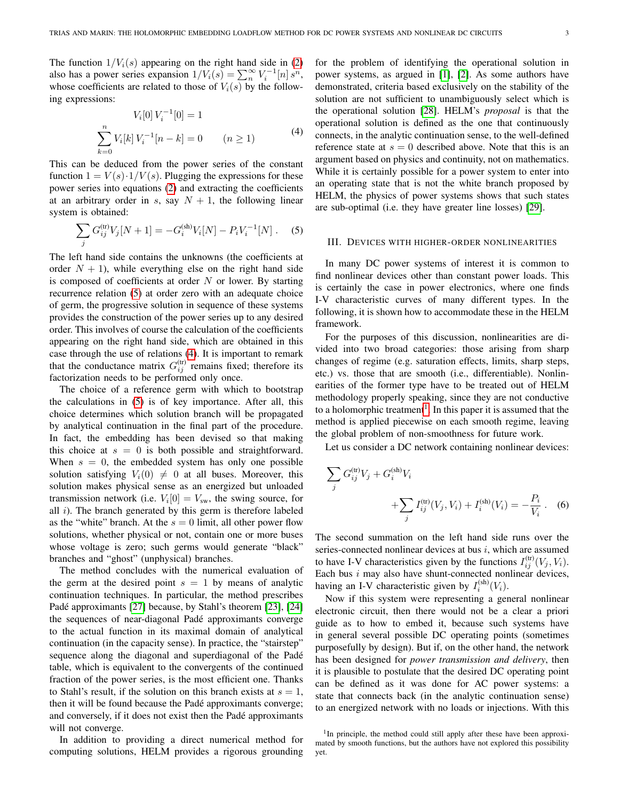The function  $1/V_i(s)$  appearing on the right hand side in [\(2\)](#page-1-2) also has a power series expansion  $1/V_i(s) = \sum_{n=1}^{\infty} V_i^{-1}[n] s^n$ , whose coefficients are related to those of  $V_i(s)$  by the following expressions:

$$
V_i[0] V_i^{-1}[0] = 1
$$
  

$$
\sum_{k=0}^{n} V_i[k] V_i^{-1}[n-k] = 0 \qquad (n \ge 1)
$$
 (4)

<span id="page-2-2"></span>This can be deduced from the power series of the constant function  $1 = V(s) \cdot 1/V(s)$ . Plugging the expressions for these power series into equations [\(2\)](#page-1-2) and extracting the coefficients at an arbitrary order in s, say  $N + 1$ , the following linear system is obtained:

<span id="page-2-1"></span>
$$
\sum_{j} G_{ij}^{(\text{tr})} V_j[N+1] = -G_i^{(\text{sh})} V_i[N] - P_i V_i^{-1}[N]. \quad (5)
$$

The left hand side contains the unknowns (the coefficients at order  $N + 1$ , while everything else on the right hand side is composed of coefficients at order  $N$  or lower. By starting recurrence relation [\(5\)](#page-2-1) at order zero with an adequate choice of germ, the progressive solution in sequence of these systems provides the construction of the power series up to any desired order. This involves of course the calculation of the coefficients appearing on the right hand side, which are obtained in this case through the use of relations [\(4\)](#page-2-2). It is important to remark that the conductance matrix  $G_{ij}^{(tr)}$  remains fixed; therefore its factorization needs to be performed only once.

The choice of a reference germ with which to bootstrap the calculations in [\(5\)](#page-2-1) is of key importance. After all, this choice determines which solution branch will be propagated by analytical continuation in the final part of the procedure. In fact, the embedding has been devised so that making this choice at  $s = 0$  is both possible and straightforward. When  $s = 0$ , the embedded system has only one possible solution satisfying  $V_i(0) \neq 0$  at all buses. Moreover, this solution makes physical sense as an energized but unloaded transmission network (i.e.  $V_i[0] = V_{sw}$ , the swing source, for all  $i$ ). The branch generated by this germ is therefore labeled as the "white" branch. At the  $s = 0$  limit, all other power flow solutions, whether physical or not, contain one or more buses whose voltage is zero; such germs would generate "black" branches and "ghost" (unphysical) branches.

The method concludes with the numerical evaluation of the germ at the desired point  $s = 1$  by means of analytic continuation techniques. In particular, the method prescribes Padé approximants [\[27\]](#page-11-18) because, by Stahl's theorem [\[23\]](#page-11-14), [\[24\]](#page-11-15) the sequences of near-diagonal Pade approximants converge ´ to the actual function in its maximal domain of analytical continuation (in the capacity sense). In practice, the "stairstep" sequence along the diagonal and superdiagonal of the Padé table, which is equivalent to the convergents of the continued fraction of the power series, is the most efficient one. Thanks to Stahl's result, if the solution on this branch exists at  $s = 1$ , then it will be found because the Padé approximants converge; and conversely, if it does not exist then the Pade approximants ´ will not converge.

In addition to providing a direct numerical method for computing solutions, HELM provides a rigorous grounding for the problem of identifying the operational solution in power systems, as argued in [\[1\]](#page-10-0), [\[2\]](#page-10-1). As some authors have demonstrated, criteria based exclusively on the stability of the solution are not sufficient to unambiguously select which is the operational solution [\[28\]](#page-11-19). HELM's *proposal* is that the operational solution is defined as the one that continuously connects, in the analytic continuation sense, to the well-defined reference state at  $s = 0$  described above. Note that this is an argument based on physics and continuity, not on mathematics. While it is certainly possible for a power system to enter into an operating state that is not the white branch proposed by HELM, the physics of power systems shows that such states are sub-optimal (i.e. they have greater line losses) [\[29\]](#page-11-20).

#### <span id="page-2-0"></span>III. DEVICES WITH HIGHER-ORDER NONLINEARITIES

In many DC power systems of interest it is common to find nonlinear devices other than constant power loads. This is certainly the case in power electronics, where one finds I-V characteristic curves of many different types. In the following, it is shown how to accommodate these in the HELM framework.

For the purposes of this discussion, nonlinearities are divided into two broad categories: those arising from sharp changes of regime (e.g. saturation effects, limits, sharp steps, etc.) vs. those that are smooth (i.e., differentiable). Nonlinearities of the former type have to be treated out of HELM methodology properly speaking, since they are not conductive to a holomorphic treatment<sup>[1](#page-2-3)</sup>. In this paper it is assumed that the method is applied piecewise on each smooth regime, leaving the global problem of non-smoothness for future work.

Let us consider a DC network containing nonlinear devices:

$$
\sum_{j} G_{ij}^{(\text{tr})} V_j + G_i^{(\text{sh})} V_i + \sum_{j} I_{ij}^{(\text{tr})} (V_j, V_i) + I_i^{(\text{sh})} (V_i) = -\frac{P_i}{V_i} \,. \tag{6}
$$

The second summation on the left hand side runs over the series-connected nonlinear devices at bus  $i$ , which are assumed to have I-V characteristics given by the functions  $I_{ij}^{(tr)}(V_j, V_i)$ . Each bus  $i$  may also have shunt-connected nonlinear devices, having an I-V characteristic given by  $I_i^{(\text{sh})}(V_i)$ .

Now if this system were representing a general nonlinear electronic circuit, then there would not be a clear a priori guide as to how to embed it, because such systems have in general several possible DC operating points (sometimes purposefully by design). But if, on the other hand, the network has been designed for *power transmission and delivery*, then it is plausible to postulate that the desired DC operating point can be defined as it was done for AC power systems: a state that connects back (in the analytic continuation sense) to an energized network with no loads or injections. With this

<span id="page-2-3"></span><sup>&</sup>lt;sup>1</sup>In principle, the method could still apply after these have been approximated by smooth functions, but the authors have not explored this possibility yet.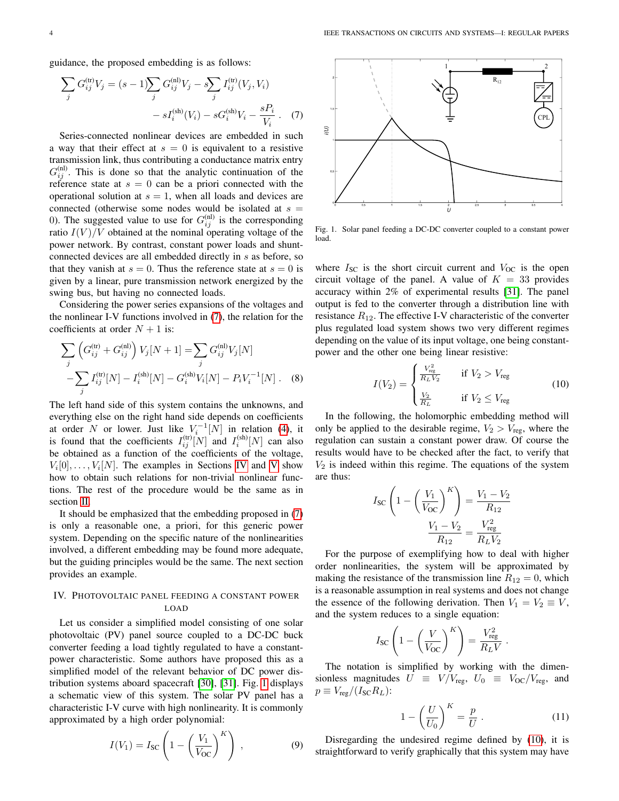guidance, the proposed embedding is as follows:

$$
\sum_{j} G_{ij}^{(\text{tr})} V_j = (s-1) \sum_{j} G_{ij}^{(\text{nl})} V_j - s \sum_{j} I_{ij}^{(\text{tr})} (V_j, V_i)
$$

$$
- s I_i^{(\text{sh})} (V_i) - s G_i^{(\text{sh})} V_i - \frac{s P_i}{V_i} . \quad (7)
$$

Series-connected nonlinear devices are embedded in such a way that their effect at  $s = 0$  is equivalent to a resistive transmission link, thus contributing a conductance matrix entry  $G_{ij}^{(nl)}$ . This is done so that the analytic continuation of the reference state at  $s = 0$  can be a priori connected with the operational solution at  $s = 1$ , when all loads and devices are connected (otherwise some nodes would be isolated at  $s =$ 0). The suggested value to use for  $G_{ij}^{(nl)}$  is the corresponding ratio  $I(V)/V$  obtained at the nominal operating voltage of the power network. By contrast, constant power loads and shuntconnected devices are all embedded directly in s as before, so that they vanish at  $s = 0$ . Thus the reference state at  $s = 0$  is given by a linear, pure transmission network energized by the swing bus, but having no connected loads.

Considering the power series expansions of the voltages and the nonlinear I-V functions involved in [\(7\)](#page-3-1), the relation for the coefficients at order  $N + 1$  is:

$$
\sum_{j} \left( G_{ij}^{(\text{tr})} + G_{ij}^{(\text{nl})} \right) V_{j}[N+1] = \sum_{j} G_{ij}^{(\text{nl})} V_{j}[N] - \sum_{j} I_{ij}^{(\text{tr})}[N] - I_{i}^{(\text{sh})}[N] - G_{i}^{(\text{sh})} V_{i}[N] - P_{i} V_{i}^{-1}[N]. \tag{8}
$$

The left hand side of this system contains the unknowns, and everything else on the right hand side depends on coefficients at order N or lower. Just like  $V_i^{-1}[N]$  in relation [\(4\)](#page-2-2), it is found that the coefficients  $I_{ij}^{(\text{tr})} [N]$  and  $I_i^{(\text{sh})} [N]$  can also be obtained as a function of the coefficients of the voltage,  $V_i[0], \ldots, V_i[N]$  $V_i[0], \ldots, V_i[N]$  $V_i[0], \ldots, V_i[N]$ . The examples in Sections [IV](#page-3-0) and V show how to obtain such relations for non-trivial nonlinear functions. The rest of the procedure would be the same as in section [II.](#page-1-0)

It should be emphasized that the embedding proposed in [\(7\)](#page-3-1) is only a reasonable one, a priori, for this generic power system. Depending on the specific nature of the nonlinearities involved, a different embedding may be found more adequate, but the guiding principles would be the same. The next section provides an example.

## <span id="page-3-0"></span>IV. PHOTOVOLTAIC PANEL FEEDING A CONSTANT POWER LOAD

Let us consider a simplified model consisting of one solar photovoltaic (PV) panel source coupled to a DC-DC buck converter feeding a load tightly regulated to have a constantpower characteristic. Some authors have proposed this as a simplified model of the relevant behavior of DC power distribution systems aboard spacecraft [\[30\]](#page-11-21), [\[31\]](#page-11-22). Fig. [1](#page-3-2) displays a schematic view of this system. The solar PV panel has a characteristic I-V curve with high nonlinearity. It is commonly approximated by a high order polynomial:

$$
I(V_1) = I_{SC} \left( 1 - \left(\frac{V_1}{V_{OC}}\right)^K \right) , \qquad (9)
$$

<span id="page-3-1"></span>

<span id="page-3-2"></span>Fig. 1. Solar panel feeding a DC-DC converter coupled to a constant power load.

where  $I_{SC}$  is the short circuit current and  $V_{OC}$  is the open circuit voltage of the panel. A value of  $K = 33$  provides accuracy within 2% of experimental results [\[31\]](#page-11-22). The panel output is fed to the converter through a distribution line with resistance  $R_{12}$ . The effective I-V characteristic of the converter plus regulated load system shows two very different regimes depending on the value of its input voltage, one being constantpower and the other one being linear resistive:

<span id="page-3-3"></span>
$$
I(V_2) = \begin{cases} \frac{V_{\text{reg}}^2}{R_L V_2} & \text{if } V_2 > V_{\text{reg}}\\ \frac{V_2}{R_L} & \text{if } V_2 \le V_{\text{reg}} \end{cases}
$$
(10)

<span id="page-3-5"></span>In the following, the holomorphic embedding method will only be applied to the desirable regime,  $V_2 > V_{\text{rec}}$ , where the regulation can sustain a constant power draw. Of course the results would have to be checked after the fact, to verify that  $V_2$  is indeed within this regime. The equations of the system are thus:

$$
I_{SC} \left( 1 - \left(\frac{V_1}{V_{OC}}\right)^K \right) = \frac{V_1 - V_2}{R_{12}}
$$

$$
\frac{V_1 - V_2}{R_{12}} = \frac{V_{reg}^2}{R_L V_2}
$$

For the purpose of exemplifying how to deal with higher order nonlinearities, the system will be approximated by making the resistance of the transmission line  $R_{12} = 0$ , which is a reasonable assumption in real systems and does not change the essence of the following derivation. Then  $V_1 = V_2 \equiv V$ , and the system reduces to a single equation:

$$
I_{SC}\left(1 - \left(\frac{V}{V_{OC}}\right)^K\right) = \frac{V_{reg}^2}{R_L V}.
$$

The notation is simplified by working with the dimensionless magnitudes  $U \equiv V/V_{\text{reg}}$ ,  $U_0 \equiv V_{\text{OC}}/V_{\text{reg}}$ , and  $p \equiv V_{\text{reg}}/(I_{\text{SC}}R_L)$ :

<span id="page-3-4"></span>
$$
1 - \left(\frac{U}{U_0}\right)^K = \frac{p}{U} \,. \tag{11}
$$

Disregarding the undesired regime defined by [\(10\)](#page-3-3), it is straightforward to verify graphically that this system may have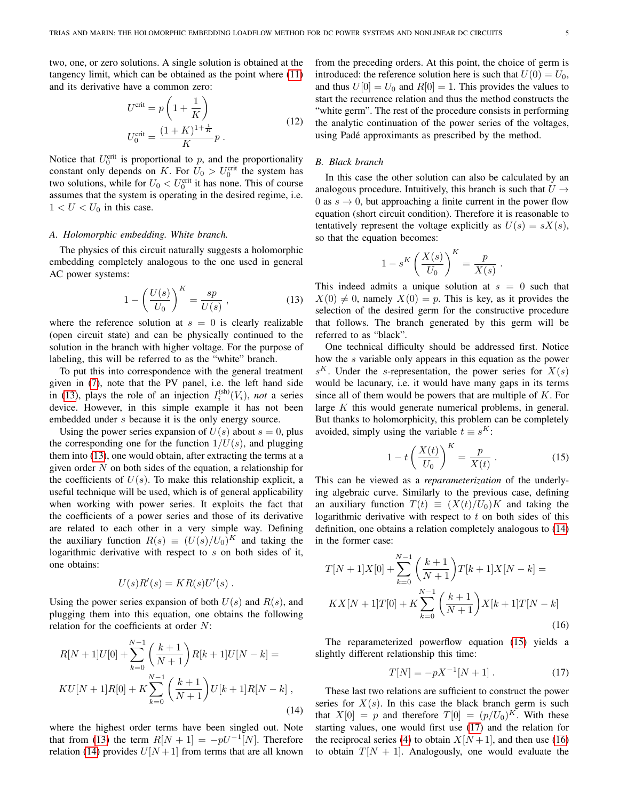two, one, or zero solutions. A single solution is obtained at the tangency limit, which can be obtained as the point where [\(11\)](#page-3-4) and its derivative have a common zero:

$$
U^{\text{crit}} = p \left( 1 + \frac{1}{K} \right)
$$
  
\n
$$
U_0^{\text{crit}} = \frac{(1 + K)^{1 + \frac{1}{K}}}{K} p .
$$
\n(12)

<span id="page-4-5"></span>Notice that  $U_0^{\text{crit}}$  is proportional to p, and the proportionality constant only depends on K. For  $U_0 > U_0^{\text{crit}}$  the system has two solutions, while for  $U_0 < U_0^{\text{crit}}$  it has none. This of course assumes that the system is operating in the desired regime, i.e.  $1 < U < U<sub>0</sub>$  in this case.

#### *A. Holomorphic embedding. White branch.*

The physics of this circuit naturally suggests a holomorphic embedding completely analogous to the one used in general AC power systems:

<span id="page-4-0"></span>
$$
1 - \left(\frac{U(s)}{U_0}\right)^K = \frac{sp}{U(s)},\tag{13}
$$

where the reference solution at  $s = 0$  is clearly realizable (open circuit state) and can be physically continued to the solution in the branch with higher voltage. For the purpose of labeling, this will be referred to as the "white" branch.

To put this into correspondence with the general treatment given in [\(7\)](#page-3-1), note that the PV panel, i.e. the left hand side in [\(13\)](#page-4-0), plays the role of an injection  $I_i^{(\text{sh})}(V_i)$ , *not* a series device. However, in this simple example it has not been embedded under s because it is the only energy source.

Using the power series expansion of  $U(s)$  about  $s = 0$ , plus the corresponding one for the function  $1/U(s)$ , and plugging them into [\(13\)](#page-4-0), one would obtain, after extracting the terms at a given order  $N$  on both sides of the equation, a relationship for the coefficients of  $U(s)$ . To make this relationship explicit, a useful technique will be used, which is of general applicability when working with power series. It exploits the fact that the coefficients of a power series and those of its derivative are related to each other in a very simple way. Defining the auxiliary function  $R(s) \equiv (U(s)/U_0)^K$  and taking the logarithmic derivative with respect to s on both sides of it, one obtains:

$$
U(s)R'(s) = KR(s)U'(s) .
$$

Using the power series expansion of both  $U(s)$  and  $R(s)$ , and plugging them into this equation, one obtains the following relation for the coefficients at order N:

$$
R[N+1]U[0] + \sum_{k=0}^{N-1} \left(\frac{k+1}{N+1}\right) R[k+1]U[N-k] =
$$
  
\n
$$
KU[N+1]R[0] + K \sum_{k=0}^{N-1} \left(\frac{k+1}{N+1}\right) U[k+1]R[N-k],
$$
\n(14)

where the highest order terms have been singled out. Note that from [\(13\)](#page-4-0) the term  $R[N+1] = -pU^{-1}[N]$ . Therefore relation [\(14\)](#page-4-1) provides  $U[N+1]$  from terms that are all known

from the preceding orders. At this point, the choice of germ is introduced: the reference solution here is such that  $U(0) = U_0$ , and thus  $U[0] = U_0$  and  $R[0] = 1$ . This provides the values to start the recurrence relation and thus the method constructs the "white germ". The rest of the procedure consists in performing the analytic continuation of the power series of the voltages, using Pade approximants as prescribed by the method. ´

#### *B. Black branch*

In this case the other solution can also be calculated by an analogous procedure. Intuitively, this branch is such that  $U \rightarrow$ 0 as  $s \to 0$ , but approaching a finite current in the power flow equation (short circuit condition). Therefore it is reasonable to tentatively represent the voltage explicitly as  $U(s) = sX(s)$ , so that the equation becomes:

$$
1 - s^K \left(\frac{X(s)}{U_0}\right)^K = \frac{p}{X(s)}
$$

This indeed admits a unique solution at  $s = 0$  such that  $X(0) \neq 0$ , namely  $X(0) = p$ . This is key, as it provides the selection of the desired germ for the constructive procedure that follows. The branch generated by this germ will be referred to as "black".

One technical difficulty should be addressed first. Notice how the s variable only appears in this equation as the power  $s^K$ . Under the s-representation, the power series for  $X(s)$ would be lacunary, i.e. it would have many gaps in its terms since all of them would be powers that are multiple of  $K$ . For large K this would generate numerical problems, in general. But thanks to holomorphicity, this problem can be completely avoided, simply using the variable  $t \equiv s^K$ :

<span id="page-4-2"></span>
$$
1 - t \left(\frac{X(t)}{U_0}\right)^K = \frac{p}{X(t)}\,. \tag{15}
$$

.

This can be viewed as a *reparameterization* of the underlying algebraic curve. Similarly to the previous case, defining an auxiliary function  $T(t) \equiv (X(t)/U_0)K$  and taking the logarithmic derivative with respect to  $t$  on both sides of this definition, one obtains a relation completely analogous to [\(14\)](#page-4-1) in the former case:

$$
T[N+1]X[0] + \sum_{k=0}^{N-1} \left(\frac{k+1}{N+1}\right)T[k+1]X[N-k] =
$$
  

$$
KX[N+1]T[0] + K\sum_{k=0}^{N-1} \left(\frac{k+1}{N+1}\right)X[k+1]T[N-k]
$$
  
(16)

The reparameterized powerflow equation [\(15\)](#page-4-2) yields a slightly different relationship this time:

<span id="page-4-4"></span><span id="page-4-3"></span>
$$
T[N] = -pX^{-1}[N+1].
$$
 (17)

<span id="page-4-1"></span>These last two relations are sufficient to construct the power series for  $X(s)$ . In this case the black branch germ is such that  $X[0] = p$  and therefore  $T[0] = (p/U_0)^K$ . With these starting values, one would first use [\(17\)](#page-4-3) and the relation for the reciprocal series [\(4\)](#page-2-2) to obtain  $X[N+1]$ , and then use [\(16\)](#page-4-4) to obtain  $T[N + 1]$ . Analogously, one would evaluate the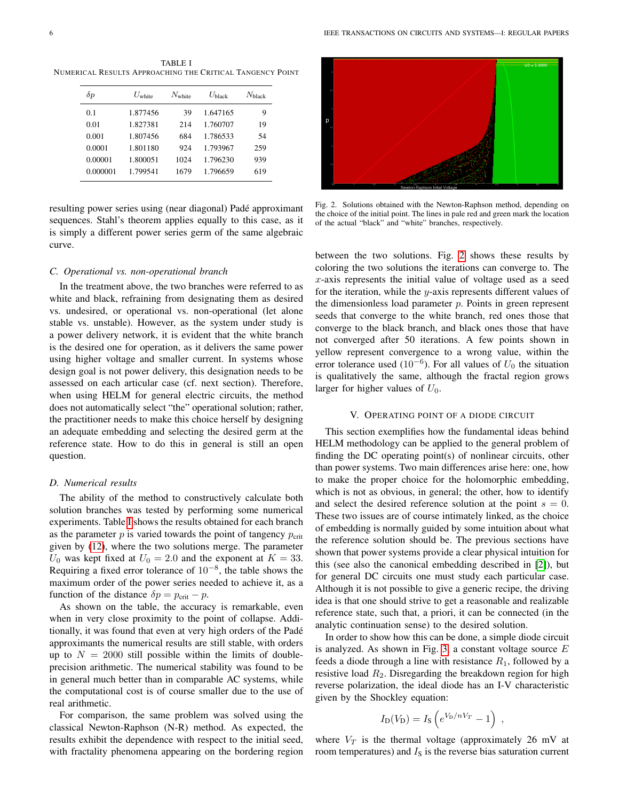<span id="page-5-1"></span>TABLE I NUMERICAL RESULTS APPROACHING THE CRITICAL TANGENCY POINT

| $\delta p$ | $U_{\rm white}$ | $N_{\text{white}}$ | $U_{\rm black}$ | $N_{\rm black}$ |
|------------|-----------------|--------------------|-----------------|-----------------|
| 0.1        | 1.877456        | 39                 | 1.647165        | 9               |
| 0.01       | 1.827381        | 214                | 1.760707        | 19              |
| 0.001      | 1.807456        | 684                | 1.786533        | 54              |
| 0.0001     | 1.801180        | 924                | 1.793967        | 259             |
| 0.00001    | 1.800051        | 1024               | 1.796230        | 939             |
| 0.000001   | 1.799541        | 1679               | 1.796659        | 619             |

resulting power series using (near diagonal) Pade approximant ´ sequences. Stahl's theorem applies equally to this case, as it is simply a different power series germ of the same algebraic curve.

#### <span id="page-5-3"></span>*C. Operational vs. non-operational branch*

In the treatment above, the two branches were referred to as white and black, refraining from designating them as desired vs. undesired, or operational vs. non-operational (let alone stable vs. unstable). However, as the system under study is a power delivery network, it is evident that the white branch is the desired one for operation, as it delivers the same power using higher voltage and smaller current. In systems whose design goal is not power delivery, this designation needs to be assessed on each articular case (cf. next section). Therefore, when using HELM for general electric circuits, the method does not automatically select "the" operational solution; rather, the practitioner needs to make this choice herself by designing an adequate embedding and selecting the desired germ at the reference state. How to do this in general is still an open question.

## *D. Numerical results*

The ability of the method to constructively calculate both solution branches was tested by performing some numerical experiments. Table [I](#page-5-1) shows the results obtained for each branch as the parameter  $p$  is varied towards the point of tangency  $p_{\text{crit}}$ given by [\(12\)](#page-4-5), where the two solutions merge. The parameter  $U_0$  was kept fixed at  $U_0 = 2.0$  and the exponent at  $K = 33$ . Requiring a fixed error tolerance of  $10^{-8}$ , the table shows the maximum order of the power series needed to achieve it, as a function of the distance  $\delta p = p_{\rm crit} - p$ .

As shown on the table, the accuracy is remarkable, even when in very close proximity to the point of collapse. Additionally, it was found that even at very high orders of the Pade´ approximants the numerical results are still stable, with orders up to  $N = 2000$  still possible within the limits of doubleprecision arithmetic. The numerical stability was found to be in general much better than in comparable AC systems, while the computational cost is of course smaller due to the use of real arithmetic.

For comparison, the same problem was solved using the classical Newton-Raphson (N-R) method. As expected, the results exhibit the dependence with respect to the initial seed, with fractality phenomena appearing on the bordering region



Fig. 2. Solutions obtained with the Newton-Raphson method, depending on the choice of the initial point. The lines in pale red and green mark the location of the actual "black" and "white" branches, respectively.

<span id="page-5-2"></span>between the two solutions. Fig. [2](#page-5-2) shows these results by coloring the two solutions the iterations can converge to. The x-axis represents the initial value of voltage used as a seed for the iteration, while the  $y$ -axis represents different values of the dimensionless load parameter  $p$ . Points in green represent seeds that converge to the white branch, red ones those that converge to the black branch, and black ones those that have not converged after 50 iterations. A few points shown in yellow represent convergence to a wrong value, within the error tolerance used  $(10^{-6})$ . For all values of  $U_0$  the situation is qualitatively the same, although the fractal region grows larger for higher values of  $U_0$ .

#### V. OPERATING POINT OF A DIODE CIRCUIT

<span id="page-5-0"></span>This section exemplifies how the fundamental ideas behind HELM methodology can be applied to the general problem of finding the DC operating point(s) of nonlinear circuits, other than power systems. Two main differences arise here: one, how to make the proper choice for the holomorphic embedding, which is not as obvious, in general; the other, how to identify and select the desired reference solution at the point  $s = 0$ . These two issues are of course intimately linked, as the choice of embedding is normally guided by some intuition about what the reference solution should be. The previous sections have shown that power systems provide a clear physical intuition for this (see also the canonical embedding described in [\[2\]](#page-10-1)), but for general DC circuits one must study each particular case. Although it is not possible to give a generic recipe, the driving idea is that one should strive to get a reasonable and realizable reference state, such that, a priori, it can be connected (in the analytic continuation sense) to the desired solution.

In order to show how this can be done, a simple diode circuit is analyzed. As shown in Fig. [3,](#page-6-1) a constant voltage source  $E$ feeds a diode through a line with resistance  $R_1$ , followed by a resistive load  $R_2$ . Disregarding the breakdown region for high reverse polarization, the ideal diode has an I-V characteristic given by the Shockley equation:

$$
I_{\rm D}(V_{\rm D}) = I_{\rm S} \left( e^{V_{\rm D}/nV_T} - 1 \right)
$$

,

where  $V_T$  is the thermal voltage (approximately 26 mV at room temperatures) and  $I<sub>S</sub>$  is the reverse bias saturation current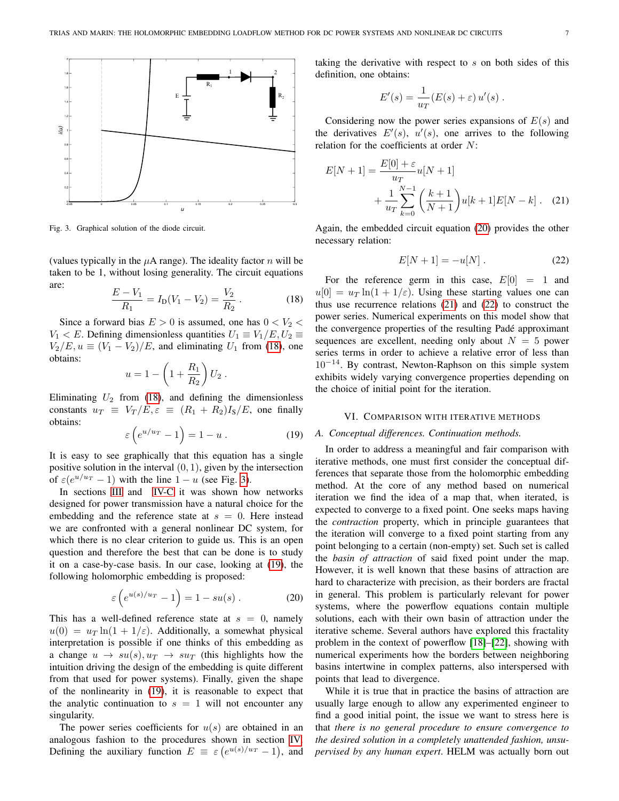

<span id="page-6-1"></span>Fig. 3. Graphical solution of the diode circuit.

(values typically in the  $\mu$ A range). The ideality factor n will be taken to be 1, without losing generality. The circuit equations are:

<span id="page-6-2"></span>
$$
\frac{E - V_1}{R_1} = I_D(V_1 - V_2) = \frac{V_2}{R_2} \,. \tag{18}
$$

Since a forward bias  $E > 0$  is assumed, one has  $0 < V_2 <$  $V_1$  < E. Defining dimensionless quantities  $U_1 \equiv V_1/E$ ,  $U_2 \equiv$  $V_2/E$ ,  $u \equiv (V_1 - V_2)/E$ , and eliminating  $U_1$  from [\(18\)](#page-6-2), one obtains:

$$
u = 1 - \left(1 + \frac{R_1}{R_2}\right) U_2.
$$

Eliminating  $U_2$  from [\(18\)](#page-6-2), and defining the dimensionless constants  $u_T \equiv V_T/E, \varepsilon \equiv (R_1 + R_2)I_S/E$ , one finally obtains:

<span id="page-6-3"></span>
$$
\varepsilon \left( e^{u/u_T} - 1 \right) = 1 - u \,. \tag{19}
$$

It is easy to see graphically that this equation has a single positive solution in the interval  $(0, 1)$ , given by the intersection of  $\varepsilon(e^{u/u_T}-1)$  with the line  $1-u$  (see Fig. [3\)](#page-6-1).

In sections [III](#page-2-0) and [IV-C](#page-5-3) it was shown how networks designed for power transmission have a natural choice for the embedding and the reference state at  $s = 0$ . Here instead we are confronted with a general nonlinear DC system, for which there is no clear criterion to guide us. This is an open question and therefore the best that can be done is to study it on a case-by-case basis. In our case, looking at [\(19\)](#page-6-3), the following holomorphic embedding is proposed:

<span id="page-6-4"></span>
$$
\varepsilon \left( e^{u(s)/u} - 1 \right) = 1 - su(s) \tag{20}
$$

This has a well-defined reference state at  $s = 0$ , namely  $u(0) = u_T \ln(1 + 1/\varepsilon)$ . Additionally, a somewhat physical interpretation is possible if one thinks of this embedding as a change  $u \rightarrow su(s), u_T \rightarrow su_T$  (this highlights how the intuition driving the design of the embedding is quite different from that used for power systems). Finally, given the shape of the nonlinearity in [\(19\)](#page-6-3), it is reasonable to expect that the analytic continuation to  $s = 1$  will not encounter any singularity.

The power series coefficients for  $u(s)$  are obtained in an analogous fashion to the procedures shown in section [IV.](#page-3-0) Defining the auxiliary function  $E \equiv \varepsilon (e^{u(s)/u_T} - 1)$ , and taking the derivative with respect to s on both sides of this definition, one obtains:

$$
E'(s) = \frac{1}{u_T}(E(s) + \varepsilon) u'(s) .
$$

Considering now the power series expansions of  $E(s)$  and the derivatives  $E'(s)$ ,  $u'(s)$ , one arrives to the following relation for the coefficients at order N:

$$
E[N+1] = \frac{E[0] + \varepsilon}{u_T} u[N+1] + \frac{1}{u_T} \sum_{k=0}^{N-1} \left(\frac{k+1}{N+1}\right) u[k+1] E[N-k]. \quad (21)
$$

Again, the embedded circuit equation [\(20\)](#page-6-4) provides the other necessary relation:

<span id="page-6-6"></span><span id="page-6-5"></span>
$$
E[N+1] = -u[N].
$$
 (22)

For the reference germ in this case,  $E[0] = 1$  and  $u[0] = u_T \ln(1 + 1/\varepsilon)$ . Using these starting values one can thus use recurrence relations [\(21\)](#page-6-5) and [\(22\)](#page-6-6) to construct the power series. Numerical experiments on this model show that the convergence properties of the resulting Padé approximant sequences are excellent, needing only about  $N = 5$  power series terms in order to achieve a relative error of less than  $10^{-14}$ . By contrast, Newton-Raphson on this simple system exhibits widely varying convergence properties depending on the choice of initial point for the iteration.

#### VI. COMPARISON WITH ITERATIVE METHODS

## <span id="page-6-0"></span>*A. Conceptual differences. Continuation methods.*

In order to address a meaningful and fair comparison with iterative methods, one must first consider the conceptual differences that separate those from the holomorphic embedding method. At the core of any method based on numerical iteration we find the idea of a map that, when iterated, is expected to converge to a fixed point. One seeks maps having the *contraction* property, which in principle guarantees that the iteration will converge to a fixed point starting from any point belonging to a certain (non-empty) set. Such set is called the *basin of attraction* of said fixed point under the map. However, it is well known that these basins of attraction are hard to characterize with precision, as their borders are fractal in general. This problem is particularly relevant for power systems, where the powerflow equations contain multiple solutions, each with their own basin of attraction under the iterative scheme. Several authors have explored this fractality problem in the context of powerflow [\[18\]](#page-11-12)–[\[22\]](#page-11-13), showing with numerical experiments how the borders between neighboring basins intertwine in complex patterns, also interspersed with points that lead to divergence.

While it is true that in practice the basins of attraction are usually large enough to allow any experimented engineer to find a good initial point, the issue we want to stress here is that *there is no general procedure to ensure convergence to the desired solution in a completely unattended fashion, unsupervised by any human expert*. HELM was actually born out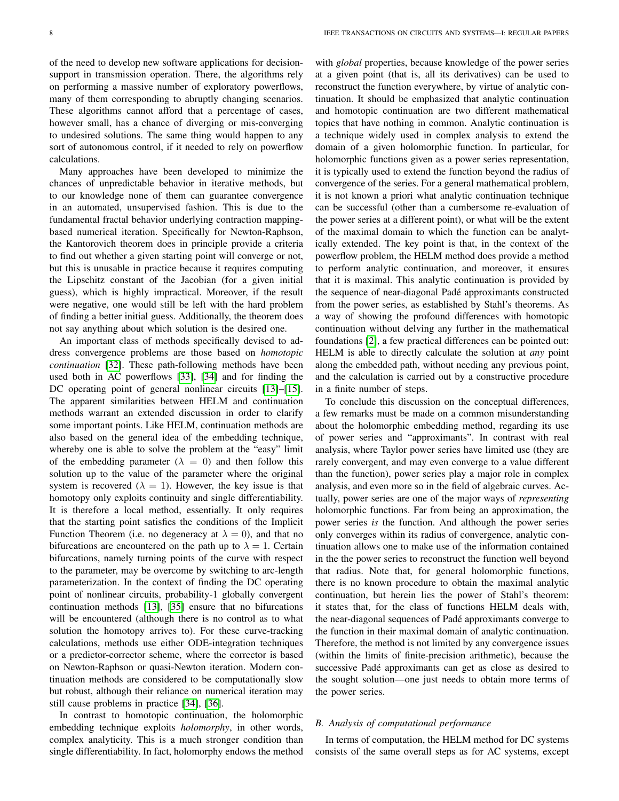of the need to develop new software applications for decisionsupport in transmission operation. There, the algorithms rely on performing a massive number of exploratory powerflows, many of them corresponding to abruptly changing scenarios. These algorithms cannot afford that a percentage of cases, however small, has a chance of diverging or mis-converging to undesired solutions. The same thing would happen to any sort of autonomous control, if it needed to rely on powerflow calculations.

Many approaches have been developed to minimize the chances of unpredictable behavior in iterative methods, but to our knowledge none of them can guarantee convergence in an automated, unsupervised fashion. This is due to the fundamental fractal behavior underlying contraction mappingbased numerical iteration. Specifically for Newton-Raphson, the Kantorovich theorem does in principle provide a criteria to find out whether a given starting point will converge or not, but this is unusable in practice because it requires computing the Lipschitz constant of the Jacobian (for a given initial guess), which is highly impractical. Moreover, if the result were negative, one would still be left with the hard problem of finding a better initial guess. Additionally, the theorem does not say anything about which solution is the desired one.

An important class of methods specifically devised to address convergence problems are those based on *homotopic continuation* [\[32\]](#page-11-23). These path-following methods have been used both in AC powerflows [\[33\]](#page-11-24), [\[34\]](#page-11-25) and for finding the DC operating point of general nonlinear circuits [\[13\]](#page-11-8)–[\[15\]](#page-11-9). The apparent similarities between HELM and continuation methods warrant an extended discussion in order to clarify some important points. Like HELM, continuation methods are also based on the general idea of the embedding technique, whereby one is able to solve the problem at the "easy" limit of the embedding parameter ( $\lambda = 0$ ) and then follow this solution up to the value of the parameter where the original system is recovered ( $\lambda = 1$ ). However, the key issue is that homotopy only exploits continuity and single differentiability. It is therefore a local method, essentially. It only requires that the starting point satisfies the conditions of the Implicit Function Theorem (i.e. no degeneracy at  $\lambda = 0$ ), and that no bifurcations are encountered on the path up to  $\lambda = 1$ . Certain bifurcations, namely turning points of the curve with respect to the parameter, may be overcome by switching to arc-length parameterization. In the context of finding the DC operating point of nonlinear circuits, probability-1 globally convergent continuation methods [\[13\]](#page-11-8), [\[35\]](#page-11-26) ensure that no bifurcations will be encountered (although there is no control as to what solution the homotopy arrives to). For these curve-tracking calculations, methods use either ODE-integration techniques or a predictor-corrector scheme, where the corrector is based on Newton-Raphson or quasi-Newton iteration. Modern continuation methods are considered to be computationally slow but robust, although their reliance on numerical iteration may still cause problems in practice [\[34\]](#page-11-25), [\[36\]](#page-11-27).

In contrast to homotopic continuation, the holomorphic embedding technique exploits *holomorphy*, in other words, complex analyticity. This is a much stronger condition than single differentiability. In fact, holomorphy endows the method

with *global* properties, because knowledge of the power series at a given point (that is, all its derivatives) can be used to reconstruct the function everywhere, by virtue of analytic continuation. It should be emphasized that analytic continuation and homotopic continuation are two different mathematical topics that have nothing in common. Analytic continuation is a technique widely used in complex analysis to extend the domain of a given holomorphic function. In particular, for holomorphic functions given as a power series representation, it is typically used to extend the function beyond the radius of convergence of the series. For a general mathematical problem, it is not known a priori what analytic continuation technique can be successful (other than a cumbersome re-evaluation of the power series at a different point), or what will be the extent of the maximal domain to which the function can be analytically extended. The key point is that, in the context of the powerflow problem, the HELM method does provide a method to perform analytic continuation, and moreover, it ensures that it is maximal. This analytic continuation is provided by the sequence of near-diagonal Pade approximants constructed ´ from the power series, as established by Stahl's theorems. As a way of showing the profound differences with homotopic continuation without delving any further in the mathematical foundations [\[2\]](#page-10-1), a few practical differences can be pointed out: HELM is able to directly calculate the solution at *any* point along the embedded path, without needing any previous point, and the calculation is carried out by a constructive procedure in a finite number of steps.

To conclude this discussion on the conceptual differences, a few remarks must be made on a common misunderstanding about the holomorphic embedding method, regarding its use of power series and "approximants". In contrast with real analysis, where Taylor power series have limited use (they are rarely convergent, and may even converge to a value different than the function), power series play a major role in complex analysis, and even more so in the field of algebraic curves. Actually, power series are one of the major ways of *representing* holomorphic functions. Far from being an approximation, the power series *is* the function. And although the power series only converges within its radius of convergence, analytic continuation allows one to make use of the information contained in the the power series to reconstruct the function well beyond that radius. Note that, for general holomorphic functions, there is no known procedure to obtain the maximal analytic continuation, but herein lies the power of Stahl's theorem: it states that, for the class of functions HELM deals with, the near-diagonal sequences of Pade approximants converge to ´ the function in their maximal domain of analytic continuation. Therefore, the method is not limited by any convergence issues (within the limits of finite-precision arithmetic), because the successive Padé approximants can get as close as desired to the sought solution—one just needs to obtain more terms of the power series.

## *B. Analysis of computational performance*

In terms of computation, the HELM method for DC systems consists of the same overall steps as for AC systems, except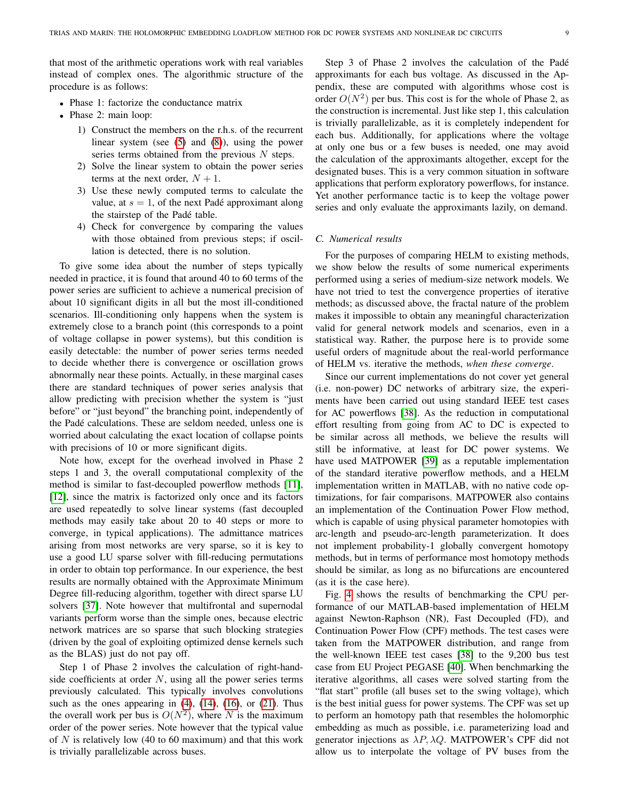that most of the arithmetic operations work with real variables instead of complex ones. The algorithmic structure of the procedure is as follows:

- Phase 1: factorize the conductance matrix
- Phase 2: main loop:
	- 1) Construct the members on the r.h.s. of the recurrent linear system (see [\(5\)](#page-2-1) and [\(8\)](#page-3-5)), using the power series terms obtained from the previous  $N$  steps.
	- 2) Solve the linear system to obtain the power series terms at the next order,  $N + 1$ .
	- 3) Use these newly computed terms to calculate the value, at  $s = 1$ , of the next Padé approximant along the stairstep of the Padé table.
	- 4) Check for convergence by comparing the values with those obtained from previous steps; if oscillation is detected, there is no solution.

To give some idea about the number of steps typically needed in practice, it is found that around 40 to 60 terms of the power series are sufficient to achieve a numerical precision of about 10 significant digits in all but the most ill-conditioned scenarios. Ill-conditioning only happens when the system is extremely close to a branch point (this corresponds to a point of voltage collapse in power systems), but this condition is easily detectable: the number of power series terms needed to decide whether there is convergence or oscillation grows abnormally near these points. Actually, in these marginal cases there are standard techniques of power series analysis that allow predicting with precision whether the system is "just before" or "just beyond" the branching point, independently of the Pade calculations. These are seldom needed, unless one is ´ worried about calculating the exact location of collapse points with precisions of 10 or more significant digits.

Note how, except for the overhead involved in Phase 2 steps 1 and 3, the overall computational complexity of the method is similar to fast-decoupled powerflow methods [\[11\]](#page-11-28), [\[12\]](#page-11-7), since the matrix is factorized only once and its factors are used repeatedly to solve linear systems (fast decoupled methods may easily take about 20 to 40 steps or more to converge, in typical applications). The admittance matrices arising from most networks are very sparse, so it is key to use a good LU sparse solver with fill-reducing permutations in order to obtain top performance. In our experience, the best results are normally obtained with the Approximate Minimum Degree fill-reducing algorithm, together with direct sparse LU solvers [\[37\]](#page-11-29). Note however that multifrontal and supernodal variants perform worse than the simple ones, because electric network matrices are so sparse that such blocking strategies (driven by the goal of exploiting optimized dense kernels such as the BLAS) just do not pay off.

Step 1 of Phase 2 involves the calculation of right-handside coefficients at order  $N$ , using all the power series terms previously calculated. This typically involves convolutions such as the ones appearing in  $(4)$ ,  $(14)$ ,  $(16)$ , or  $(21)$ . Thus the overall work per bus is  $O(N^2)$ , where N is the maximum order of the power series. Note however that the typical value of  $N$  is relatively low (40 to 60 maximum) and that this work is trivially parallelizable across buses.

Step 3 of Phase 2 involves the calculation of the Pade´ approximants for each bus voltage. As discussed in the Appendix, these are computed with algorithms whose cost is order  $O(N^2)$  per bus. This cost is for the whole of Phase 2, as the construction is incremental. Just like step 1, this calculation is trivially parallelizable, as it is completely independent for each bus. Additionally, for applications where the voltage at only one bus or a few buses is needed, one may avoid the calculation of the approximants altogether, except for the designated buses. This is a very common situation in software applications that perform exploratory powerflows, for instance. Yet another performance tactic is to keep the voltage power series and only evaluate the approximants lazily, on demand.

## *C. Numerical results*

For the purposes of comparing HELM to existing methods, we show below the results of some numerical experiments performed using a series of medium-size network models. We have not tried to test the convergence properties of iterative methods; as discussed above, the fractal nature of the problem makes it impossible to obtain any meaningful characterization valid for general network models and scenarios, even in a statistical way. Rather, the purpose here is to provide some useful orders of magnitude about the real-world performance of HELM vs. iterative the methods, *when these converge*.

Since our current implementations do not cover yet general (i.e. non-power) DC networks of arbitrary size, the experiments have been carried out using standard IEEE test cases for AC powerflows [\[38\]](#page-11-30). As the reduction in computational effort resulting from going from AC to DC is expected to be similar across all methods, we believe the results will still be informative, at least for DC power systems. We have used MATPOWER [\[39\]](#page-11-31) as a reputable implementation of the standard iterative powerflow methods, and a HELM implementation written in MATLAB, with no native code optimizations, for fair comparisons. MATPOWER also contains an implementation of the Continuation Power Flow method, which is capable of using physical parameter homotopies with arc-length and pseudo-arc-length parameterization. It does not implement probability-1 globally convergent homotopy methods, but in terms of performance most homotopy methods should be similar, as long as no bifurcations are encountered (as it is the case here).

Fig. [4](#page-9-0) shows the results of benchmarking the CPU performance of our MATLAB-based implementation of HELM against Newton-Raphson (NR), Fast Decoupled (FD), and Continuation Power Flow (CPF) methods. The test cases were taken from the MATPOWER distribution, and range from the well-known IEEE test cases [\[38\]](#page-11-30) to the 9,200 bus test case from EU Project PEGASE [\[40\]](#page-11-32). When benchmarking the iterative algorithms, all cases were solved starting from the "flat start" profile (all buses set to the swing voltage), which is the best initial guess for power systems. The CPF was set up to perform an homotopy path that resembles the holomorphic embedding as much as possible, i.e. parameterizing load and generator injections as  $\lambda P$ ,  $\lambda Q$ . MATPOWER's CPF did not allow us to interpolate the voltage of PV buses from the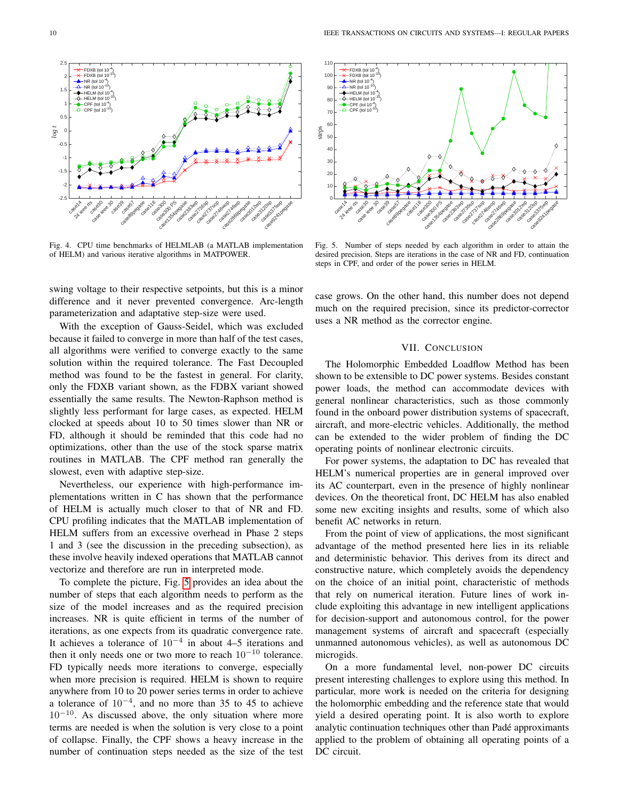<span id="page-9-0"></span>of HELM) and various iterative algorithms in MATPOWER.

swing voltage to their respective setpoints, but this is a minor difference and it never prevented convergence. Arc-length parameterization and adaptative step-size were used.

With the exception of Gauss-Seidel, which was excluded because it failed to converge in more than half of the test cases, all algorithms were verified to converge exactly to the same solution within the required tolerance. The Fast Decoupled method was found to be the fastest in general. For clarity, only the FDXB variant shown, as the FDBX variant showed essentially the same results. The Newton-Raphson method is slightly less performant for large cases, as expected. HELM clocked at speeds about 10 to 50 times slower than NR or FD, although it should be reminded that this code had no optimizations, other than the use of the stock sparse matrix routines in MATLAB. The CPF method ran generally the slowest, even with adaptive step-size.

Nevertheless, our experience with high-performance implementations written in C has shown that the performance of HELM is actually much closer to that of NR and FD. CPU profiling indicates that the MATLAB implementation of HELM suffers from an excessive overhead in Phase 2 steps 1 and 3 (see the discussion in the preceding subsection), as these involve heavily indexed operations that MATLAB cannot vectorize and therefore are run in interpreted mode.

To complete the picture, Fig. [5](#page-9-1) provides an idea about the number of steps that each algorithm needs to perform as the size of the model increases and as the required precision increases. NR is quite efficient in terms of the number of iterations, as one expects from its quadratic convergence rate. It achieves a tolerance of  $10^{-4}$  in about 4–5 iterations and then it only needs one or two more to reach  $10^{-10}$  tolerance. FD typically needs more iterations to converge, especially when more precision is required. HELM is shown to require anywhere from 10 to 20 power series terms in order to achieve a tolerance of  $10^{-4}$ , and no more than 35 to 45 to achieve  $10^{-10}$ . As discussed above, the only situation where more terms are needed is when the solution is very close to a point of collapse. Finally, the CPF shows a heavy increase in the number of continuation steps needed as the size of the test case14

case grows. On the other hand, this number does not depend much on the required precision, since its predictor-corrector uses a NR method as the corrector engine.

<span id="page-9-1"></span>desired precision. Steps are iterations in the case of NR and FD, continuation

steps in CPF, and order of the power series in HELM.

#### VII. CONCLUSION

The Holomorphic Embedded Loadflow Method has been shown to be extensible to DC power systems. Besides constant power loads, the method can accommodate devices with general nonlinear characteristics, such as those commonly found in the onboard power distribution systems of spacecraft, aircraft, and more-electric vehicles. Additionally, the method can be extended to the wider problem of finding the DC operating points of nonlinear electronic circuits.

For power systems, the adaptation to DC has revealed that HELM's numerical properties are in general improved over its AC counterpart, even in the presence of highly nonlinear devices. On the theoretical front, DC HELM has also enabled some new exciting insights and results, some of which also benefit AC networks in return.

From the point of view of applications, the most significant advantage of the method presented here lies in its reliable and deterministic behavior. This derives from its direct and constructive nature, which completely avoids the dependency on the choice of an initial point, characteristic of methods that rely on numerical iteration. Future lines of work include exploiting this advantage in new intelligent applications for decision-support and autonomous control, for the power management systems of aircraft and spacecraft (especially unmanned autonomous vehicles), as well as autonomous DC microgids.

On a more fundamental level, non-power DC circuits present interesting challenges to explore using this method. In particular, more work is needed on the criteria for designing the holomorphic embedding and the reference state that would yield a desired operating point. It is also worth to explore analytic continuation techniques other than Pade approximants ´ applied to the problem of obtaining all operating points of a DC circuit.



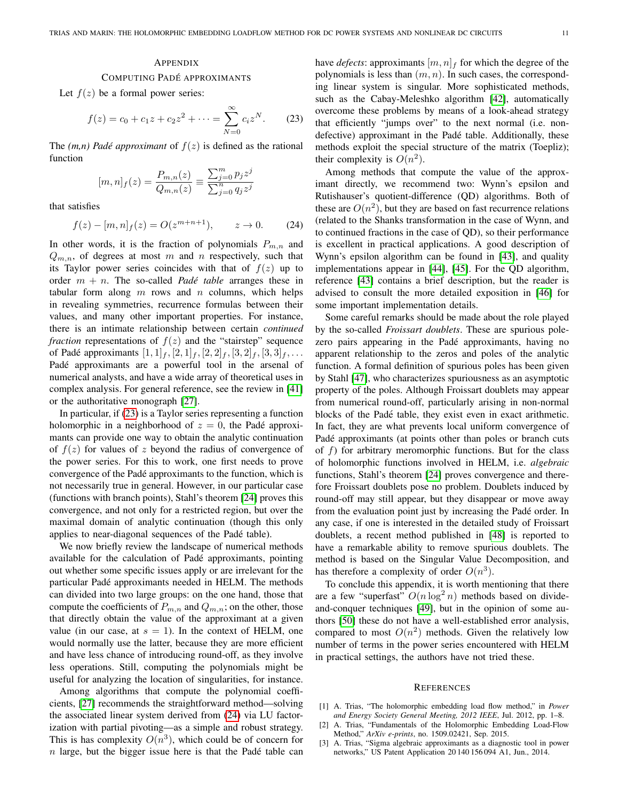#### APPENDIX

#### COMPUTING PADE APPROXIMANTS ´

Let  $f(z)$  be a formal power series:

<span id="page-10-3"></span>
$$
f(z) = c_0 + c_1 z + c_2 z^2 + \dots = \sum_{N=0}^{\infty} c_i z^N.
$$
 (23)

The  $(m,n)$  Padé approximant of  $f(z)$  is defined as the rational function

$$
[m,n]_f(z) = \frac{P_{m,n}(z)}{Q_{m,n}(z)} \equiv \frac{\sum_{j=0}^m p_j z^j}{\sum_{j=0}^n q_j z^j}
$$

that satisfies

<span id="page-10-4"></span>
$$
f(z) - [m, n]_f(z) = O(z^{m+n+1}), \qquad z \to 0.
$$
 (24)

In other words, it is the fraction of polynomials  $P_{m,n}$  and  $Q_{m,n}$ , of degrees at most m and n respectively, such that its Taylor power series coincides with that of  $f(z)$  up to order  $m + n$ . The so-called *Padé table* arranges these in tabular form along  $m$  rows and  $n$  columns, which helps in revealing symmetries, recurrence formulas between their values, and many other important properties. For instance, there is an intimate relationship between certain *continued fraction* representations of  $f(z)$  and the "stairstep" sequence of Padé approximants  $[1, 1]_f$ ,  $[2, 1]_f$ ,  $[2, 2]_f$ ,  $[3, 2]_f$ ,  $[3, 3]_f$ , ... Padé approximants are a powerful tool in the arsenal of numerical analysts, and have a wide array of theoretical uses in complex analysis. For general reference, see the review in [\[41\]](#page-11-33) or the authoritative monograph [\[27\]](#page-11-18).

In particular, if [\(23\)](#page-10-3) is a Taylor series representing a function holomorphic in a neighborhood of  $z = 0$ , the Padé approximants can provide one way to obtain the analytic continuation of  $f(z)$  for values of z beyond the radius of convergence of the power series. For this to work, one first needs to prove convergence of the Pade approximants to the function, which is ´ not necessarily true in general. However, in our particular case (functions with branch points), Stahl's theorem [\[24\]](#page-11-15) proves this convergence, and not only for a restricted region, but over the maximal domain of analytic continuation (though this only applies to near-diagonal sequences of the Padé table).

We now briefly review the landscape of numerical methods available for the calculation of Pade approximants, pointing ´ out whether some specific issues apply or are irrelevant for the particular Padé approximants needed in HELM. The methods can divided into two large groups: on the one hand, those that compute the coefficients of  $P_{m,n}$  and  $Q_{m,n}$ ; on the other, those that directly obtain the value of the approximant at a given value (in our case, at  $s = 1$ ). In the context of HELM, one would normally use the latter, because they are more efficient and have less chance of introducing round-off, as they involve less operations. Still, computing the polynomials might be useful for analyzing the location of singularities, for instance.

Among algorithms that compute the polynomial coefficients, [\[27\]](#page-11-18) recommends the straightforward method—solving the associated linear system derived from [\(24\)](#page-10-4) via LU factorization with partial pivoting—as a simple and robust strategy. This is has complexity  $O(n^3)$ , which could be of concern for  $n$  large, but the bigger issue here is that the Padé table can have *defects*: approximants  $[m, n]_f$  for which the degree of the polynomials is less than  $(m, n)$ . In such cases, the corresponding linear system is singular. More sophisticated methods, such as the Cabay-Meleshko algorithm [\[42\]](#page-11-34), automatically overcome these problems by means of a look-ahead strategy that efficiently "jumps over" to the next normal (i.e. nondefective) approximant in the Padé table. Additionally, these methods exploit the special structure of the matrix (Toepliz); their complexity is  $O(n^2)$ .

Among methods that compute the value of the approximant directly, we recommend two: Wynn's epsilon and Rutishauser's quotient-difference (QD) algorithms. Both of these are  $O(n^2)$ , but they are based on fast recurrence relations (related to the Shanks transformation in the case of Wynn, and to continued fractions in the case of QD), so their performance is excellent in practical applications. A good description of Wynn's epsilon algorithm can be found in [\[43\]](#page-11-35), and quality implementations appear in [\[44\]](#page-11-36), [\[45\]](#page-11-37). For the QD algorithm, reference [\[43\]](#page-11-35) contains a brief description, but the reader is advised to consult the more detailed exposition in [\[46\]](#page-11-38) for some important implementation details.

Some careful remarks should be made about the role played by the so-called *Froissart doublets*. These are spurious polezero pairs appearing in the Padé approximants, having no apparent relationship to the zeros and poles of the analytic function. A formal definition of spurious poles has been given by Stahl [\[47\]](#page-11-39), who characterizes spuriousness as an asymptotic property of the poles. Although Froissart doublets may appear from numerical round-off, particularly arising in non-normal blocks of the Padé table, they exist even in exact arithmetic. In fact, they are what prevents local uniform convergence of Padé approximants (at points other than poles or branch cuts of  $f$ ) for arbitrary meromorphic functions. But for the class of holomorphic functions involved in HELM, i.e. *algebraic* functions, Stahl's theorem [\[24\]](#page-11-15) proves convergence and therefore Froissart doublets pose no problem. Doublets induced by round-off may still appear, but they disappear or move away from the evaluation point just by increasing the Pade order. In ´ any case, if one is interested in the detailed study of Froissart doublets, a recent method published in [\[48\]](#page-11-40) is reported to have a remarkable ability to remove spurious doublets. The method is based on the Singular Value Decomposition, and has therefore a complexity of order  $O(n^3)$ .

To conclude this appendix, it is worth mentioning that there are a few "superfast"  $O(n \log^2 n)$  methods based on divideand-conquer techniques [\[49\]](#page-11-41), but in the opinion of some authors [\[50\]](#page-11-42) these do not have a well-established error analysis, compared to most  $O(n^2)$  methods. Given the relatively low number of terms in the power series encountered with HELM in practical settings, the authors have not tried these.

#### **REFERENCES**

- <span id="page-10-0"></span>[1] A. Trias, "The holomorphic embedding load flow method," in *Power and Energy Society General Meeting, 2012 IEEE*, Jul. 2012, pp. 1–8.
- <span id="page-10-1"></span>[2] A. Trias, "Fundamentals of the Holomorphic Embedding Load-Flow Method," *ArXiv e-prints*, no. 1509.02421, Sep. 2015.
- <span id="page-10-2"></span>[3] A. Trias, "Sigma algebraic approximants as a diagnostic tool in power networks," US Patent Application 20 140 156 094 A1, Jun., 2014.